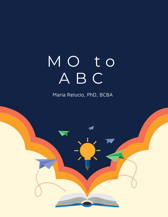# MO to A B C

Maria Relucio, PhD, BCBA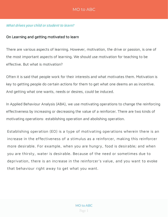#### What drives your child or student to learn?

#### On Learning and getting motivated to learn

There are various aspects of learning. However, motivation, the drive or passion, is one of the most important aspects of learning. We should use motivation for teaching to be effective. But what is motivation?

Often it is said that people work for their interests and what motivates them. Motivation is key to getting people do certain actions for them to get what one deems an as incentive. And getting what one wants, needs or desires, could be induced.

In Applied Behaviour Analysis (ABA), we use motivating operations to change the reinforcing effectiveness by increasing or decreasing the value of a reinforcer. There are two kinds of motivating operations: establishing operation and abolishing operation.

Establishing operation (EO) is a type of motivating operations wherein there is an increase in the effectiveness of a stimulus as a reinforcer, making this reinforcer more desirable. For example, when you are hungry, food is desirable; and when you are thirsty, water is desirable. Because of the need or sometimes due to deprivation, there is an increase in the reinforcer's value, and you want to evoke that behaviour right away to get what you want.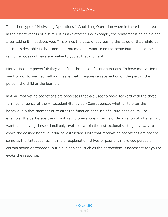The other type of Motivating Operations is Abolishing Operation wherein there is a decrease in the effectiveness of a stimulus as a reinforcer. For example, the reinforcer is an edible and after taking it, it satiates you. This brings the case of decreasing the value of that reinforcer - it is less desirable in that moment. You may not want to do the behaviour because the reinforcer does not have any value to you at that moment.

Motivations are powerful; they are often the reason for one's actions. To have motivation to want or not to want something means that it requires a satisfaction on the part of the person, the child or the learner.

In ABA, motivating operations are processes that are used to move forward with the threeterm contingency of the Antecedent-Behaviour-Consequence, whether to alter the behaviour in that moment or to alter the function or cause of future behaviours. For example, the deliberate use of motivating operations in terms of deprivation of what a child wants and having these stimuli only available within the instructional setting, is a way to evoke the desired behaviour during instruction. Note that motivating operations are not the same as the Antecedents. In simpler explanation, drives or passions make you pursue a certain action or response, but a cue or signal such as the antecedent is necessary for you to evoke the response.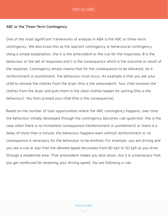#### ABC or the Three-Term Contingency

One of the most significant frameworks of analysis in ABA is the ABC or three-term contingency. We also know this as the operant contingency or behavioural contingency. Using a simple explanation, the A is the antecedent or the cue for the responses, B is the behaviour or the set of responses and C is the consequence which is the outcome or result of the response. Contingency simply means that for the consequence to be delivered, be it reinforcement or punishment, the behaviour must occur. An example is that you ask your child to remove the clothes from the dryer (this is the antecedent). Your child removes the clothes from the dryer and puts them in the clean clothes basket for sorting (this is the behaviour). You then praised your child (this is the consequence).

Based on the number of task opportunities where the ABC contingency happens, over time the behaviour initially developed through the contingency becomes rule-governed: this is the case when there is no immediate consequence (reinforcement or punishment) or there is a delay of more than a minute; the behaviour happens even without reinforcement or no consequence is necessary for the behaviour to be emitted. For example, you are driving and you see a cue or sign that the allowed speed decreases from 80 kph to 50 kph as you drive through a residential area. That antecedent makes you slow down, but it is unnecessary that you get reinforced for lessening your driving speed. You are following a rule.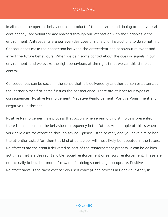In all cases, the operant behaviour as a product of the operant conditioning or behavioural contingency, are voluntary and learned through our interaction with the variables in the environment. Antecedents are our everyday cues or signals, or instructions to do something. Consequences make the connection between the antecedent and behaviour relevant and affect the future behaviours. When we gain some control about the cues or signals in our environment, and we evoke the right behaviours at the right time, we call this stimulus control.

Consequences can be social in the sense that it is delivered by another person or automatic, the learner himself or herself issues the consequence. There are at least four types of consequences: Positive Reinforcement, Negative Reinforcement, Positive Punishment and Negative Punishment.

Positive Reinforcement is a process that occurs when a reinforcing stimulus is presented, there is an increase in the behaviour's frequency in the future. An example of this is when your child asks for attention through saying, "please listen to me", and you gave him or her the attention asked for, then this kind of behaviour will most likely be repeated in the future. Reinforcers are the stimuli delivered as part of the reinforcement process. It can be edibles, activities that are desired, tangible, social reinforcement or sensory reinforcement. These are not actually bribes, but more of rewards for doing something appropriate. Positive Reinforcement is the most extensively used concept and process in Behaviour Analysis.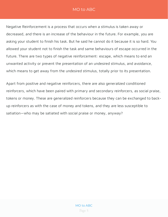Negative Reinforcement is a process that occurs when a stimulus is taken away or decreased, and there is an increase of the behaviour in the future. For example, you are asking your student to finish his task. But he said he cannot do it because it is so hard. You allowed your student not to finish the task and same behaviours of escape occurred in the future. There are two types of negative reinforcement: escape, which means to end an unwanted activity or prevent the presentation of an undesired stimulus, and avoidance, which means to get away from the undesired stimulus, totally prior to its presentation.

Apart from positive and negative reinforcers, there are also generalized conditioned reinforcers, which have been paired with primary and secondary reinforcers, as social praise, tokens or money. These are generalized reinforcers because they can be exchanged to backup reinforcers as with the case of money and tokens, and they are less susceptible to satiation—who may be satiated with social praise or money, anyway?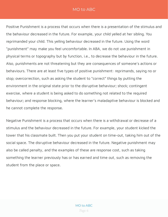Positive Punishment is a process that occurs when there is a presentation of the stimulus and the behaviour decreased in the future. For example, your child yelled at her sibling. You reprimanded your child. This yelling behaviour decreased in the future. Using the word "punishment" may make you feel uncomfortable. In ABA, we do not use punishment in physical terms or topography but by function, i.e., to decrease the behaviour in the future. Also, punishments are not threatening but they are consequences of someone's actions or behaviours. There are at least five types of positive punishment: reprimands, saying no or stop; overcorrection, such as asking the student to "correct" things by putting the environment in the original state prior to the disruptive behaviour; shock; contingent exercise, where a student is being asked to do something not related to the required behaviour; and response blocking, where the learner's maladaptive behaviour is blocked and he cannot complete the response.

Negative Punishment is a process that occurs when there is a withdrawal or decrease of a stimulus and the behaviour decreased in the future. For example, your student kicked the tower that his classmate built. Then you put your student on time-out, taking him out of the social space. The disruptive behaviour decreased in the future. Negative punishment may also be called penalty, and the examples of these are response cost, such as taking something the learner previously has or has earned and time out, such as removing the student from the place or space.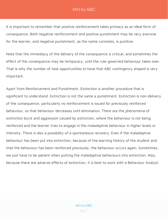It is important to remember that positive reinforcement takes primacy as an ideal form of consequence. Both negative reinforcement and positive punishment may be very aversive for the learner, and negative punishment, as the name connotes, is punitive.

Note that the immediacy of the delivery of the consequence is critical, and sometimes the effect of the consequence may be temporary, until the rule-governed behaviour takes over. That is why the number of task opportunities to have that ABC contingency shaped is very important.

Apart from Reinforcement and Punishment, Extinction is another procedure that is significant to understand. Extinction is not the same a punishment. Extinction is non-delivery of the consequence, particularly no reinforcement is issued for previously reinforced behaviour, so that behaviour decreases until elimination. There are the phenomena of extinction burst and aggression caused by extinction, where the behaviour is not being reinforced and the learner tries to engage in the maladaptive behaviour in higher levels or intensity. There is also a possibility of a spontaneous recovery. Even if the maladaptive behaviour has been put into extinction, because of the learning history of the student and that the behaviour has been reinforced previously, the behaviour occurs again. Sometimes, we just have to be patient when putting the maladaptive behaviours into extinction. Also, because there are adverse effects of extinction, it is best to work with a Behaviour Analyst.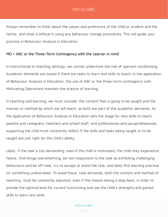Always remember to think about the values and preference of the child or student and the family, and what is ethical in using any behaviour change procedures. This will guide your practice in Behaviour Analysis in Education.

#### MO + ABC or the Three-Term Contingency with the Learner in mind

In instructional or teaching settings, we cannot undermine the role of operant conditioning. Academic demands are issued if there are tasks to learn and skills to teach. In the application of Behaviour Analysis in Education, the use of ABC or the three-term contingency with Motivating Operations maintain the science of learning.

In teaching and learning, we must consider the content that is going to be taught and the manner or method by which we will teach, as both are part of the academic demands. As the application of Behaviour Analysis in Education sets the stage for new skills to teach, parents and caregivers, teachers and school staff, and professionals and paraprofessionals supporting the child must constantly reflect if the skills and tasks being taught or to be taught are just right for the child's ability.

Likely, if the task is too demanding, even if the child is motivated, the child may experience failure, find things overwhelming, be non-responsive to the task by exhibiting challenging behaviours and be off-task, try to escape or avoid the task, and likely find learning aversive (or something undesirable). To avoid these, task demands, both the content and method of teaching, must be constantly adjusted, even if this means taking a step back, in order to provide the optimal level for current functioning and use the child's strengths and gained skills to learn new skills.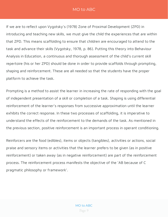If we are to reflect upon Vygotsky's (1978) Zone of Proximal Development (ZPD) in introducing and teaching new skills, we must give the child the experiences that are within that ZPD. This means scaffolding to ensure that children are encouraged to attend to the task and advance their skills (Vygotsky, 1978, p. 86). Putting this theory into Behaviour Analysis in Education, a continuous and thorough assessment of the child's current skill repertoire (his or her ZPD) should be done in order to provide scaffolds through prompting, shaping and reinforcement. These are all needed so that the students have the proper platform to achieve the task.

Prompting is a method to assist the learner in increasing the rate of responding with the goal of independent presentation of a skill or completion of a task. Shaping is using differential reinforcement of the learner's responses from successive approximation until the learner exhibits the correct response. In these two processes of scaffolding, it is imperative to understand the effects of the reinforcement to the demands of the task. As mentioned in the previous section, positive reinforcement is an important process in operant conditioning.

Reinforcers are the food (edibles), items or objects (tangibles), activities or actions, social praise and sensory items or activities that the learner prefers to be given (as in positive reinforcement) or taken away (as in negative reinforcement) are part of the reinforcement process. The reinforcement process manifests the objective of the 'AB because of C pragmatic philosophy or framework'.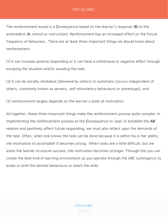The reinforcement issued is a Consequence based on the learner's response (B) to the antecedent (A, stimuli or instruction). Reinforcement has an increased effect on the future frequency of behaviour. There are at least three important things we should know about reinforcement:

(1) it can increase positive responding or it can have a withdrawal or negative effect through escaping the situation and/or avoiding the task;

(2) it can be socially mediated [delivered by others] or automatic [occurs independent of others, commonly known as sensory, self-stimulatory behaviours or stereotypy]; and

(3) reinforcement largely depends on the learner's state of motivation.

All together, these three important things make the reinforcement process quite complex. In implementing the reinforcement process as the Consequence to 'seal' or establish the AB relation and positively affect future responding, we must also reflect upon the demands of the task. Often, when one knows the task can be done because it is within his or her ability, the motivation to accomplish it becomes strong. When tasks are a little difficult, but we assist the learner to ensure success, the motivation becomes stronger. Through this you can create the best kind of learning environment as you operate through the ABC contingency to evoke or emit the desired behaviours or teach the skills.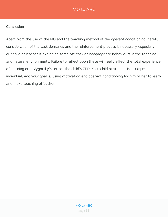#### **Conclusion**

Apart from the use of the MO and the teaching method of the operant conditioning, careful consideration of the task demands and the reinforcement process is necessary especially if our child or learner is exhibiting some off-task or inappropriate behaviours in the teaching and natural environments. Failure to reflect upon these will really affect the total experience of learning or in Vygotsky's terms, the child's ZPD. Your child or student is a unique individual, and your goal is, using motivation and operant conditioning for him or her to learn and make teaching effective.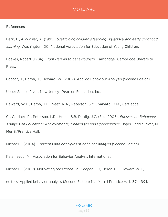#### References

Berk, L., & Winsler, A. (1995). Scaffolding children's learning: Vygotsky and early childhood learning. Washington, DC: National Association for Education of Young Children.

Boakes, Robert (1984). From Darwin to behaviourism. Cambridge: Cambridge University Press.

Cooper, J., Heron, T., Heward, W. (2007). Applied Behaviour Analysis (Second Edition).

Upper Saddle River, New Jersey: Pearson Education, Inc.

Heward, W.L., Heron, T.E., Neef, N.A., Peterson, S.M., Sainato, D.M., Cartledge,

G., Gardner, R., Peterson, L.D., Hersh, S.B. Dardig, J.C. (Eds, 2005). Focuses on Behaviour Analysis on Education: Achievements, Challenges and Opportunities. Upper Saddle River, NJ: Merrill/Prentice Hall.

Michael J. (2004). Concepts and principles of behavior analysis (Second Edition).

Kalamazoo, MI: Association for Behavior Analysis International.

Michael J. (2007). Motivating operations. In: Cooper J. O, Heron T. E, Heward W. L,

editors. Applied behavior analysis (Second Edition) NJ: Merrill Prentice Hall, 374–391.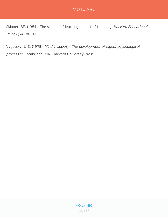Skinner, BF. (1954). The science of learning and art of teaching. Harvard Educational Review, 24, 86-97.

Vygotsky, L. S. (1978). Mind in society: The development of higher psychological processes. Cambridge, MA: Harvard University Press.